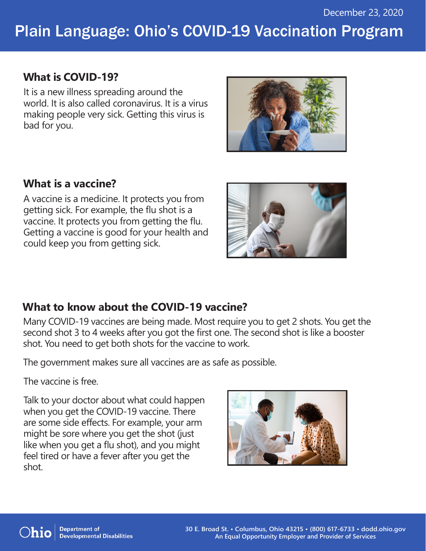# Plain Language: Ohio's COVID-19 Vaccination Program

### **What is COVID-19?**

It is a new illness spreading around the world. It is also called coronavirus. It is a virus making people very sick. Getting this virus is bad for you.



### **What is a vaccine?**

A vaccine is a medicine. It protects you from getting sick. For example, the flu shot is a vaccine. It protects you from getting the flu. Getting a vaccine is good for your health and could keep you from getting sick.



### **What to know about the COVID-19 vaccine?**

Many COVID-19 vaccines are being made. Most require you to get 2 shots. You get the second shot 3 to 4 weeks after you got the first one. The second shot is like a booster shot. You need to get both shots for the vaccine to work.

The government makes sure all vaccines are as safe as possible.

The vaccine is free.

Talk to your doctor about what could happen when you get the COVID-19 vaccine. There are some side effects. For example, your arm might be sore where you get the shot (just like when you get a flu shot), and you might feel tired or have a fever after you get the shot.





**Department of Developmental Disabilities**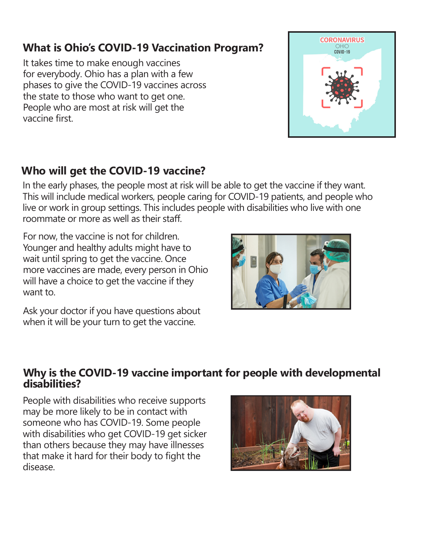# **What is Ohio's COVID-19 Vaccination Program?**

It takes time to make enough vaccines for everybody. Ohio has a plan with a few phases to give the COVID-19 vaccines across the state to those who want to get one. People who are most at risk will get the vaccine first.



### **Who will get the COVID-19 vaccine?**

In the early phases, the people most at risk will be able to get the vaccine if they want. This will include medical workers, people caring for COVID-19 patients, and people who live or work in group settings. This includes people with disabilities who live with one roommate or more as well as their staff.

For now, the vaccine is not for children. Younger and healthy adults might have to wait until spring to get the vaccine. Once more vaccines are made, every person in Ohio will have a choice to get the vaccine if they want to.

Ask your doctor if you have questions about when it will be your turn to get the vaccine.



#### **Why is the COVID-19 vaccine important for people with developmental disabilities?**

People with disabilities who receive supports may be more likely to be in contact with someone who has COVID-19. Some people with disabilities who get COVID-19 get sicker than others because they may have illnesses that make it hard for their body to fight the disease.